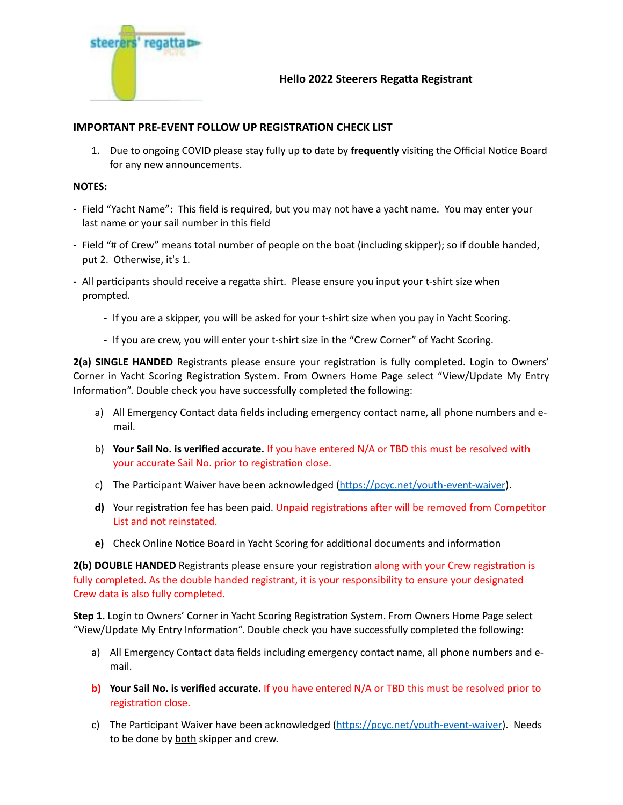

## **IMPORTANT PRE-EVENT FOLLOW UP REGISTRATiON CHECK LIST**

1. Due to ongoing COVID please stay fully up to date by **frequently** visiting the Official Notice Board for any new announcements.

## **NOTES:**

- **-** Field "Yacht Name": This field is required, but you may not have a yacht name. You may enter your last name or your sail number in this field
- **-** Field "# of Crew" means total number of people on the boat (including skipper); so if double handed, put 2. Otherwise, it's 1.
- **-** All participants should receive a regatta shirt. Please ensure you input your t-shirt size when prompted.
	- **-** If you are a skipper, you will be asked for your t-shirt size when you pay in Yacht Scoring.
	- **-** If you are crew, you will enter your t-shirt size in the "Crew Corner" of Yacht Scoring.

**2(a) SINGLE HANDED** Registrants please ensure your registration is fully completed. Login to Owners' Corner in Yacht Scoring Registration System. From Owners Home Page select "View/Update My Entry Information". Double check you have successfully completed the following:

- a) All Emergency Contact data fields including emergency contact name, all phone numbers and email.
- b) **Your Sail No. is verified accurate.** If you have entered N/A or TBD this must be resolved with your accurate Sail No. prior to registration close.
- c) The Participant Waiver have been acknowledged ([https://pcyc.net/youth-event-waiver\)](https://pcyc.net/youth-event-waiver).
- **d)** Your registration fee has been paid. Unpaid registrations after will be removed from Competitor List and not reinstated.
- **e)** Check Online Notice Board in Yacht Scoring for additional documents and information

**2(b) DOUBLE HANDED** Registrants please ensure your registration along with your Crew registration is fully completed. As the double handed registrant, it is your responsibility to ensure your designated Crew data is also fully completed.

**Step 1.** Login to Owners' Corner in Yacht Scoring Registration System. From Owners Home Page select "View/Update My Entry Information". Double check you have successfully completed the following:

- a) All Emergency Contact data fields including emergency contact name, all phone numbers and email.
- **b) Your Sail No. is verified accurate.** If you have entered N/A or TBD this must be resolved prior to registration close.
- c) The Participant Waiver have been acknowledged ([https://pcyc.net/youth-event-waiver\)](https://pcyc.net/youth-event-waiver). Needs to be done by both skipper and crew.